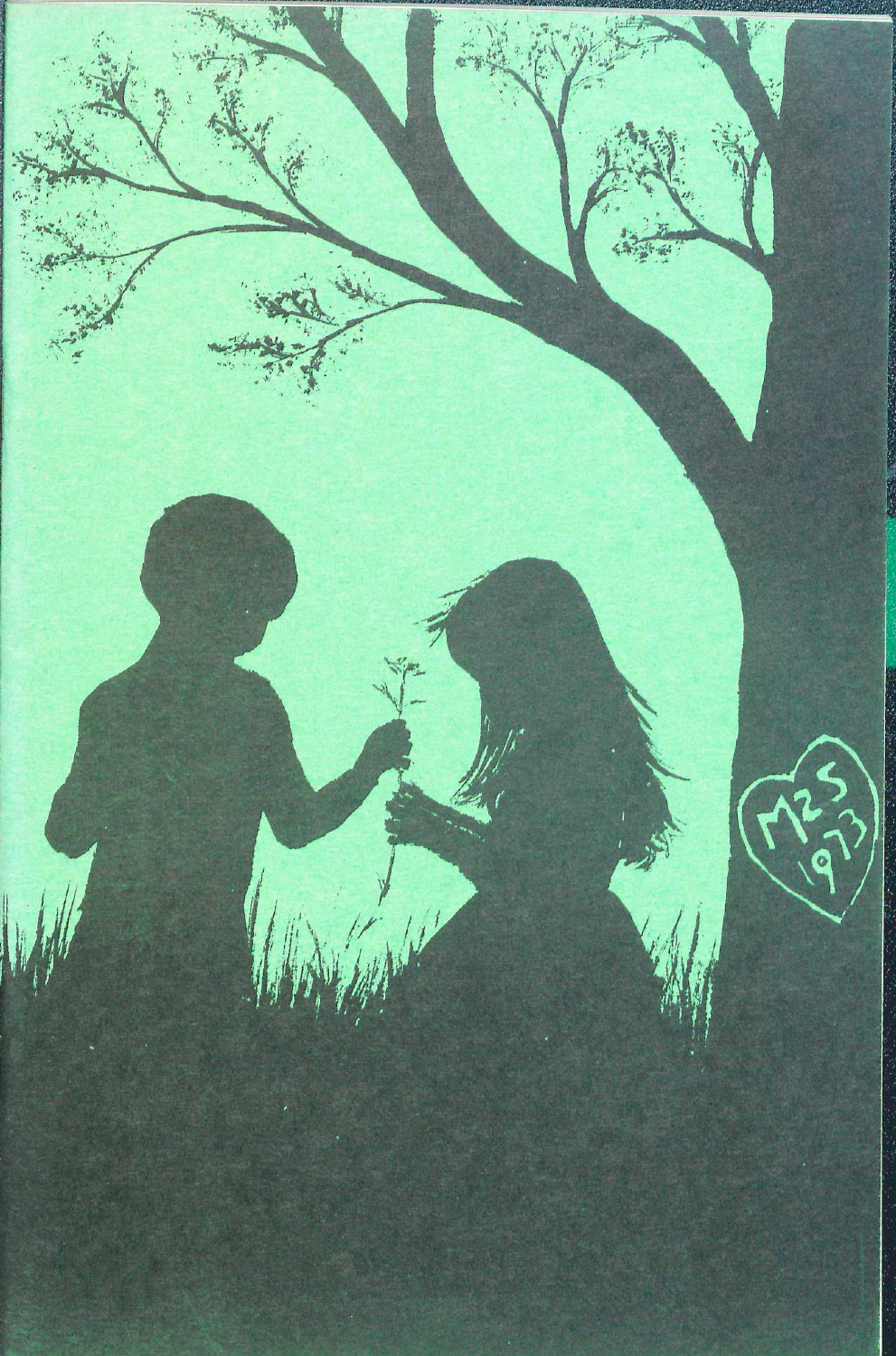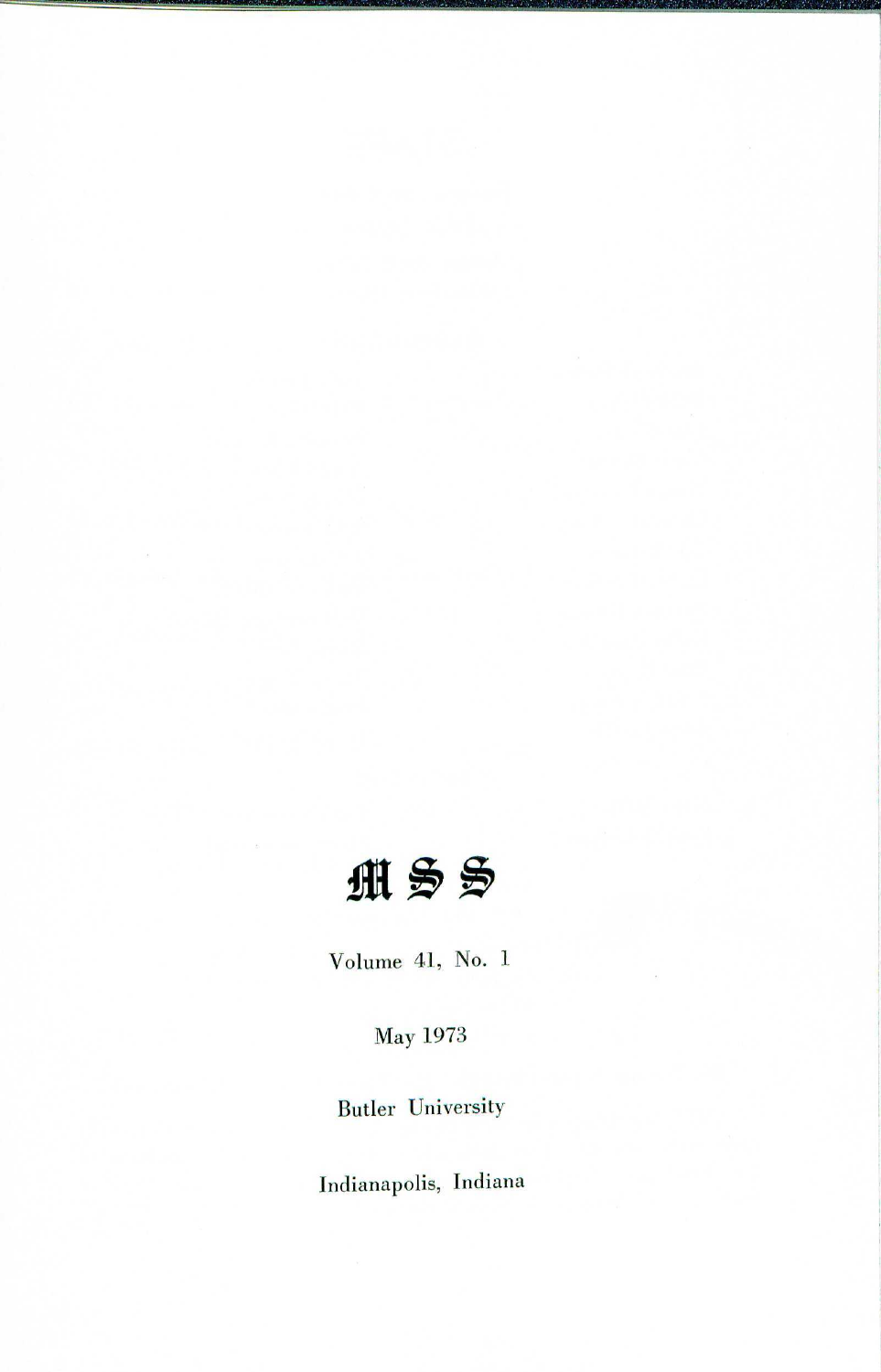

Volume 41, No. 1

May 1973

Butler University

Indianapolis, Indiana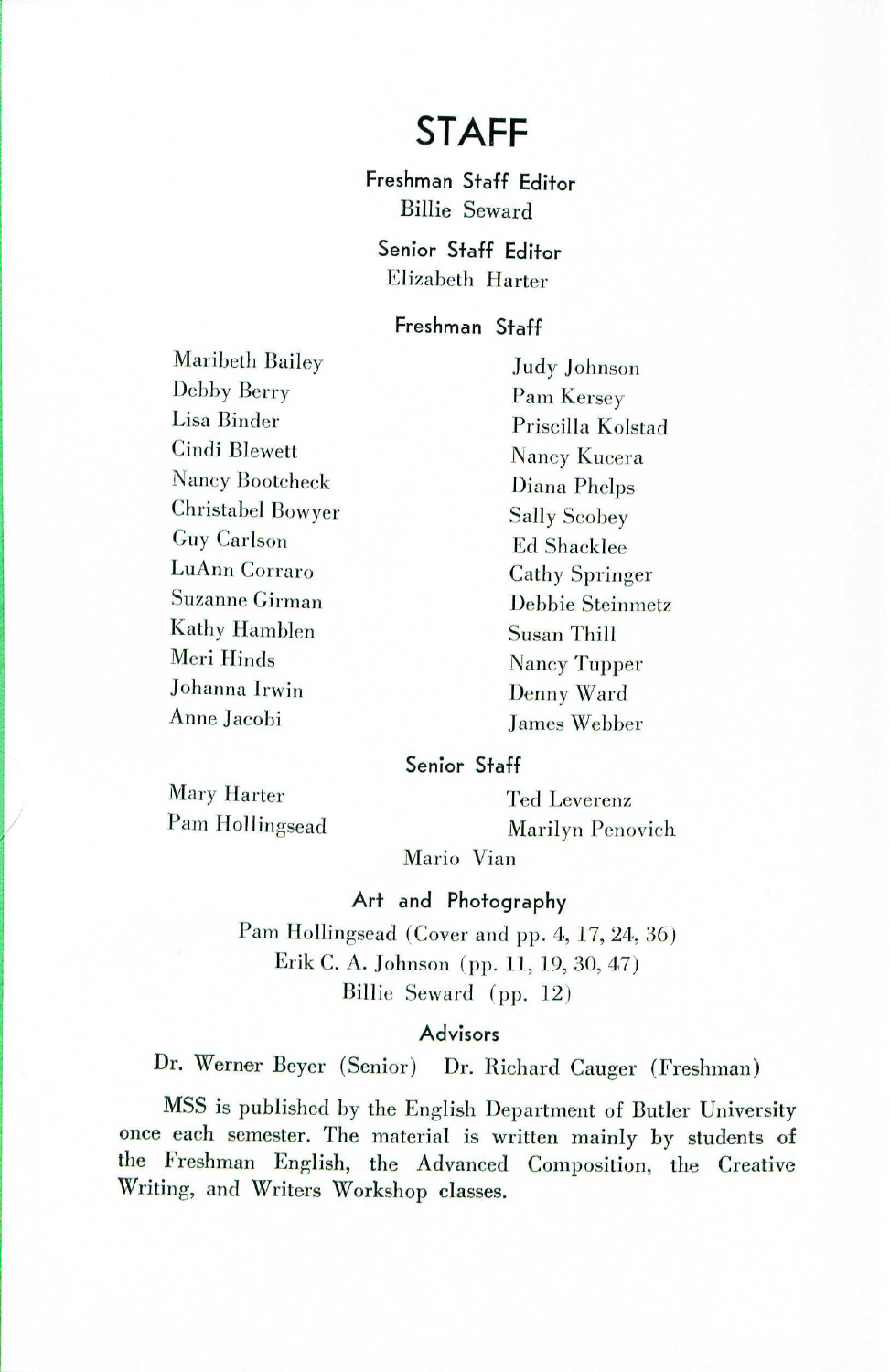# **STAFF**

Freshman Staff Editor Billie Seward

Senior Staff Editor Elizabeth Harter

#### Freshman Staff

Maribeth Bailey Debby Berry Lisa Binder Cindi Blewett Nancy Bootcheck Christabel Bowyer Guy Carlson LuAnn Corraro Suzanne Cirman Kathy Hamblen Meri Hinds Johanna Irwin Anne Jacobi

Judy Johnson Pam Kersey Priscilla Kolstad Nancy Kucera Diana Phelps Sally Scobey Ed Shacklee Cathy Springer Debbie Steinmetz Susan Thill Nancy Tupper Denny Ward James Webber

#### Senior Staff

Mary Harter Pam Hollingsead

i<br>Indonesia<br>Indonesia

Ted Leverenz Marilyn Penovich

Mario Vian

#### Art and Photography

Pam Hollingsead (Cover and pp. 4, 17, 24, 36) Erik C. A. Johnson (pp. 11, 19,30,47) Billie Seward (pp. 12)

#### Advisors

Dr. Werner Beyer (Senior) Dr. Richard Cauger (Freshman)

MSS is published by the English Department of Butler University once each semester. The material is written mainly by students of the Freshman English, the Advanced Composition, the Creative Writing, and Writers Workshop classes.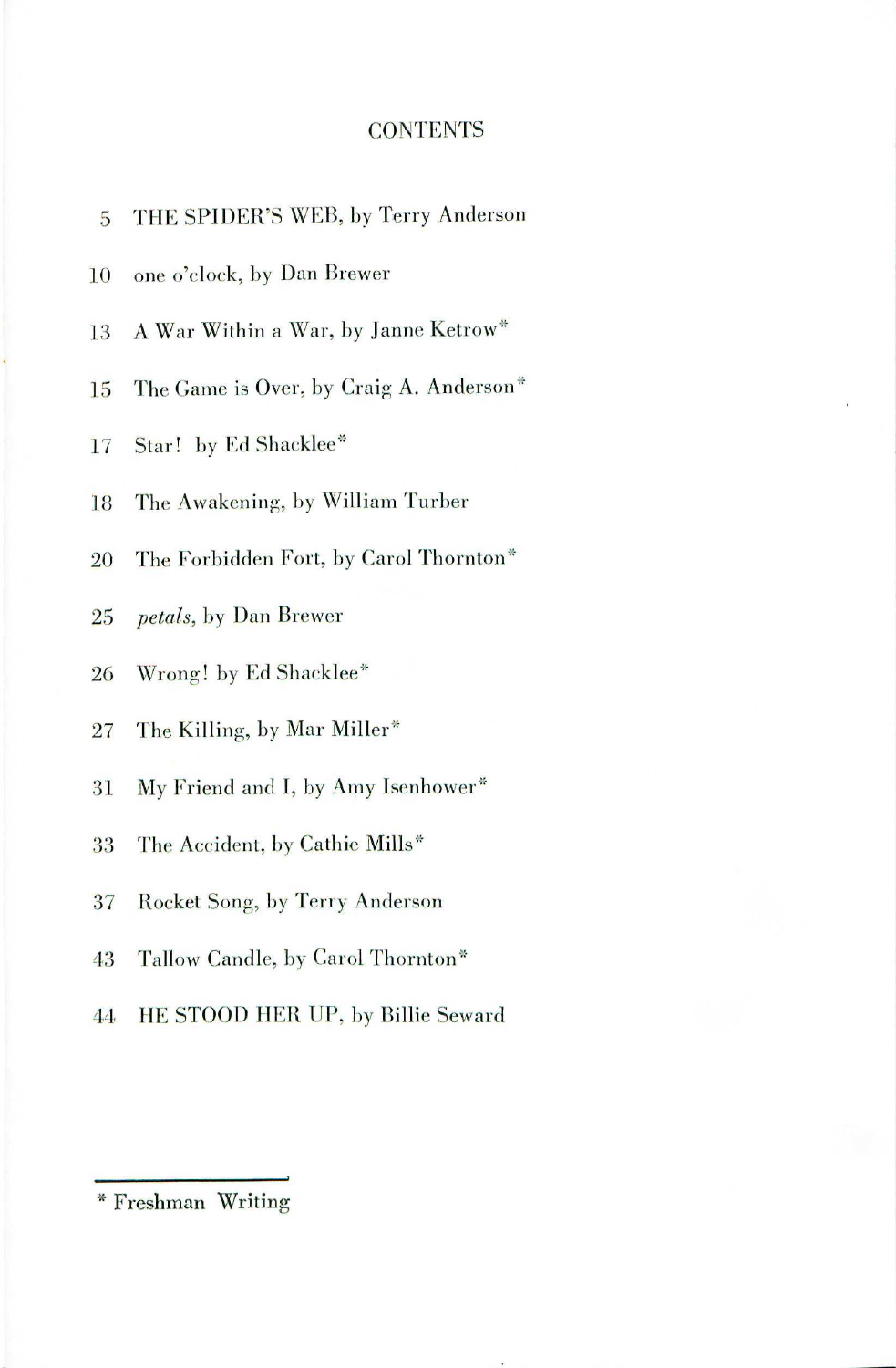### **CONTENTS**

| 5      | THE SPIDER'S WEB, by Terry Anderson     |
|--------|-----------------------------------------|
| 10     | one o'clock, by Dan Brewer              |
| 13     | A War Within a War, by Janne Ketrow*    |
| 15     | The Game is Over, by Craig A. Anderson* |
| 17     | Star! by Ed Shacklee*                   |
| 18     | The Awakening, by William Turber        |
| 20     | The Forbidden Fort, by Carol Thornton*  |
| $25\,$ | <i>petals</i> , by Dan Brewer           |
| 26     | Wrong! by Ed Shacklee*                  |
| 27     | The Killing, by Mar Miller*             |
| 31     | My Friend and I, by Amy Isenhower*      |
| 33     | The Accident, by Cathie Mills*          |
| 37     | Rocket Song, by Terry Anderson          |
| 43     | Tallow Candle, by Carol Thornton*       |
| 44     | HE STOOD HER UP, by Billie Seward       |
|        |                                         |

.\* Freshman Writing